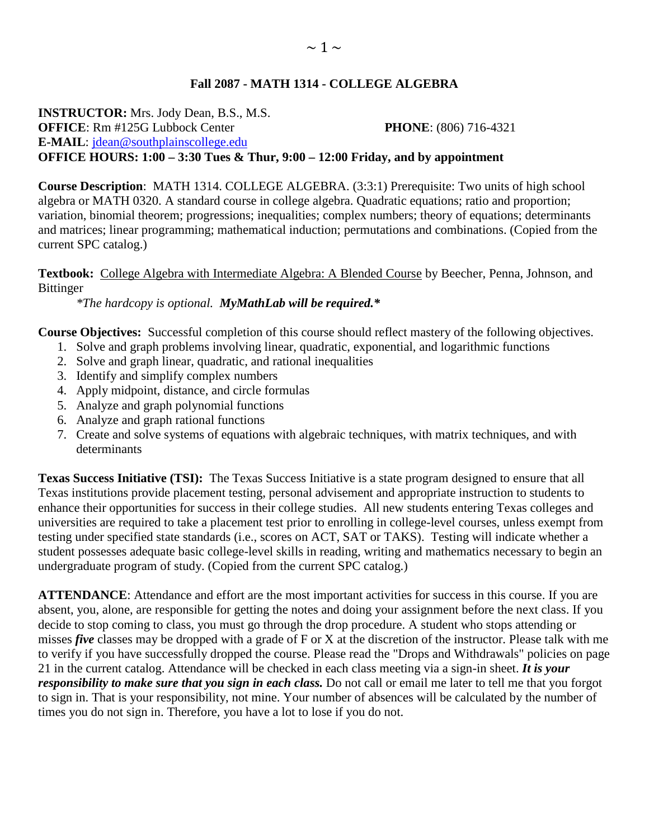## **Fall 2087 - MATH 1314 - COLLEGE ALGEBRA**

**INSTRUCTOR:** Mrs. Jody Dean, B.S., M.S. **OFFICE**: Rm #125G Lubbock Center **PHONE**: (806) 716-4321 **E-MAIL**: [jdean@southplainscollege.edu](mailto:jdean@southplainscollege.edu)  **OFFICE HOURS: 1:00 – 3:30 Tues & Thur, 9:00 – 12:00 Friday, and by appointment**

**Course Description**: MATH 1314. COLLEGE ALGEBRA. (3:3:1) Prerequisite: Two units of high school algebra or MATH 0320. A standard course in college algebra. Quadratic equations; ratio and proportion; variation, binomial theorem; progressions; inequalities; complex numbers; theory of equations; determinants and matrices; linear programming; mathematical induction; permutations and combinations. (Copied from the current SPC catalog.)

**Textbook:** College Algebra with Intermediate Algebra: A Blended Course by Beecher, Penna, Johnson, and Bittinger

*\*The hardcopy is optional. MyMathLab will be required.\**

**Course Objectives:** Successful completion of this course should reflect mastery of the following objectives.

- 1. Solve and graph problems involving linear, quadratic, exponential, and logarithmic functions
- 2. Solve and graph linear, quadratic, and rational inequalities
- 3. Identify and simplify complex numbers
- 4. Apply midpoint, distance, and circle formulas
- 5. Analyze and graph polynomial functions
- 6. Analyze and graph rational functions
- 7. Create and solve systems of equations with algebraic techniques, with matrix techniques, and with determinants

**Texas Success Initiative (TSI):** The Texas Success Initiative is a state program designed to ensure that all Texas institutions provide placement testing, personal advisement and appropriate instruction to students to enhance their opportunities for success in their college studies. All new students entering Texas colleges and universities are required to take a placement test prior to enrolling in college-level courses, unless exempt from testing under specified state standards (i.e., scores on ACT, SAT or TAKS). Testing will indicate whether a student possesses adequate basic college-level skills in reading, writing and mathematics necessary to begin an undergraduate program of study. (Copied from the current SPC catalog.)

**ATTENDANCE**: Attendance and effort are the most important activities for success in this course. If you are absent, you, alone, are responsible for getting the notes and doing your assignment before the next class. If you decide to stop coming to class, you must go through the drop procedure. A student who stops attending or misses *five* classes may be dropped with a grade of F or X at the discretion of the instructor. Please talk with me to verify if you have successfully dropped the course. Please read the "Drops and Withdrawals" policies on page 21 in the current catalog. Attendance will be checked in each class meeting via a sign-in sheet. *It is your responsibility to make sure that you sign in each class.* Do not call or email me later to tell me that you forgot to sign in. That is your responsibility, not mine. Your number of absences will be calculated by the number of times you do not sign in. Therefore, you have a lot to lose if you do not.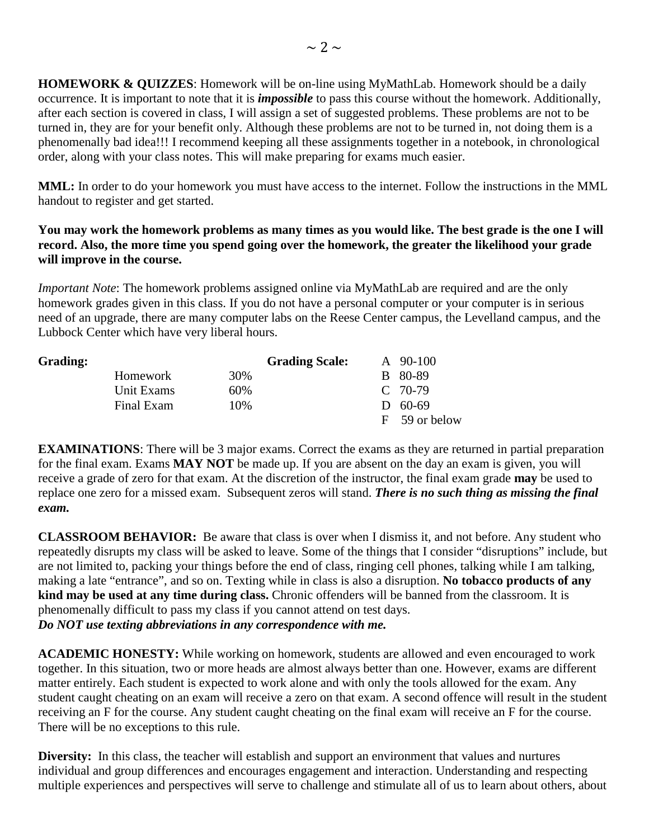**HOMEWORK & QUIZZES**: Homework will be on-line using MyMathLab. Homework should be a daily occurrence. It is important to note that it is *impossible* to pass this course without the homework. Additionally, after each section is covered in class, I will assign a set of suggested problems. These problems are not to be turned in, they are for your benefit only. Although these problems are not to be turned in, not doing them is a phenomenally bad idea!!! I recommend keeping all these assignments together in a notebook, in chronological order, along with your class notes. This will make preparing for exams much easier.

**MML:** In order to do your homework you must have access to the internet. Follow the instructions in the MML handout to register and get started.

## **You may work the homework problems as many times as you would like. The best grade is the one I will record. Also, the more time you spend going over the homework, the greater the likelihood your grade will improve in the course.**

*Important Note*: The homework problems assigned online via MyMathLab are required and are the only homework grades given in this class. If you do not have a personal computer or your computer is in serious need of an upgrade, there are many computer labs on the Reese Center campus, the Levelland campus, and the Lubbock Center which have very liberal hours.

| <b>Grading:</b> |                 |     | <b>Grading Scale:</b> | $\rm{A}$ 90-100 |
|-----------------|-----------------|-----|-----------------------|-----------------|
|                 | <b>Homework</b> | 30% |                       | B 80-89         |
|                 | Unit Exams      | 60% |                       | $C$ 70-79       |
|                 | Final Exam      | 10% |                       | $D = 60-69$     |
|                 |                 |     |                       | F 59 or below   |

**EXAMINATIONS**: There will be 3 major exams. Correct the exams as they are returned in partial preparation for the final exam. Exams **MAY NOT** be made up. If you are absent on the day an exam is given, you will receive a grade of zero for that exam. At the discretion of the instructor, the final exam grade **may** be used to replace one zero for a missed exam. Subsequent zeros will stand. *There is no such thing as missing the final exam.*

**CLASSROOM BEHAVIOR:** Be aware that class is over when I dismiss it, and not before. Any student who repeatedly disrupts my class will be asked to leave. Some of the things that I consider "disruptions" include, but are not limited to, packing your things before the end of class, ringing cell phones, talking while I am talking, making a late "entrance", and so on. Texting while in class is also a disruption. **No tobacco products of any kind may be used at any time during class.** Chronic offenders will be banned from the classroom. It is phenomenally difficult to pass my class if you cannot attend on test days. *Do NOT use texting abbreviations in any correspondence with me.*

**ACADEMIC HONESTY:** While working on homework, students are allowed and even encouraged to work together. In this situation, two or more heads are almost always better than one. However, exams are different matter entirely. Each student is expected to work alone and with only the tools allowed for the exam. Any student caught cheating on an exam will receive a zero on that exam. A second offence will result in the student receiving an F for the course. Any student caught cheating on the final exam will receive an F for the course. There will be no exceptions to this rule.

**Diversity:** In this class, the teacher will establish and support an environment that values and nurtures individual and group differences and encourages engagement and interaction. Understanding and respecting multiple experiences and perspectives will serve to challenge and stimulate all of us to learn about others, about